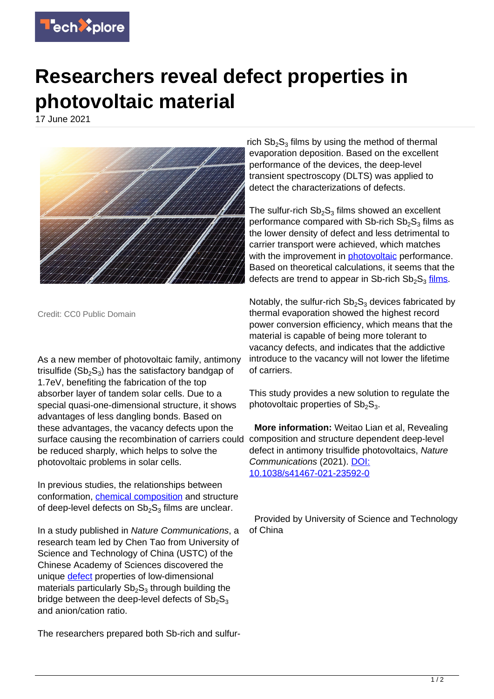

## **Researchers reveal defect properties in photovoltaic material**

17 June 2021



Credit: CC0 Public Domain

As a new member of photovoltaic family, antimony trisulfide (Sb $_2$ S $_3$ ) has the satisfactory bandgap of 1.7eV, benefiting the fabrication of the top absorber layer of tandem solar cells. Due to a special quasi-one-dimensional structure, it shows advantages of less dangling bonds. Based on these advantages, the vacancy defects upon the surface causing the recombination of carriers could composition and structure dependent deep-level be reduced sharply, which helps to solve the photovoltaic problems in solar cells.

In previous studies, the relationships between conformation, [chemical composition](https://techxplore.com/tags/chemical+composition/) and structure of deep-level defects on  $\mathrm{Sb}_2\mathrm{S}_3$  films are unclear.

In a study published in Nature Communications, a research team led by Chen Tao from University of Science and Technology of China (USTC) of the Chinese Academy of Sciences discovered the unique [defect](https://techxplore.com/tags/defect/) properties of low-dimensional materials particularly  $\mathsf{S}\mathsf{b}_2\mathsf{S}_3$  through building the bridge between the deep-level defects of  $Sb_2S_3$ and anion/cation ratio.

The researchers prepared both Sb-rich and sulfur-

rich  $\text{Sb}_2\text{S}_3$  films by using the method of thermal evaporation deposition. Based on the excellent performance of the devices, the deep-level transient spectroscopy (DLTS) was applied to detect the characterizations of defects.

The sulfur-rich  $\mathrm{Sb_2S_3}$  films showed an excellent performance compared with Sb-rich  $\text{Sb}_2\text{S}_3$  films as the lower density of defect and less detrimental to carrier transport were achieved, which matches with the improvement in **[photovoltaic](https://techxplore.com/tags/photovoltaic/)** performance. Based on theoretical calculations, it seems that the defects are trend to appear in Sb-rich  $Sb_2S_3$  [films.](https://techxplore.com/tags/films/)

Notably, the sulfur-rich  $Sb<sub>2</sub>S<sub>3</sub>$  devices fabricated by thermal evaporation showed the highest record power conversion efficiency, which means that the material is capable of being more tolerant to vacancy defects, and indicates that the addictive introduce to the vacancy will not lower the lifetime of carriers.

This study provides a new solution to regulate the photovoltaic properties of  $Sb_2S_3$ .

 **More information:** Weitao Lian et al, Revealing defect in antimony trisulfide photovoltaics, Nature Communications (2021). [DOI:](http://dx.doi.org/10.1038/s41467-021-23592-0) [10.1038/s41467-021-23592-0](http://dx.doi.org/10.1038/s41467-021-23592-0)

 Provided by University of Science and Technology of China